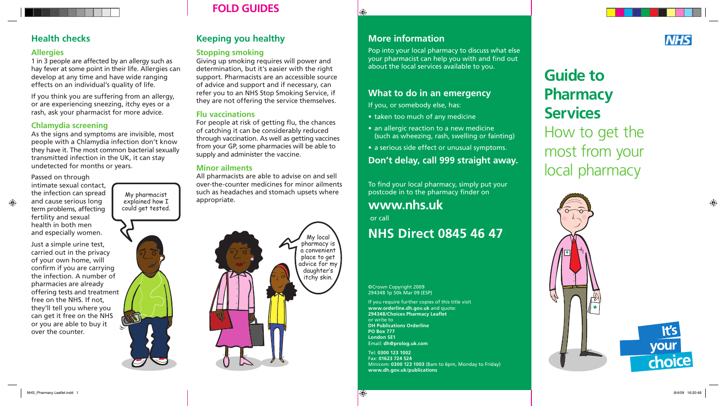# **Health checks**

# **Allergies**

1 in 3 people are affected by an allergy such as hay fever at some point in their life. Allergies can develop at any time and have wide ranging effects on an individual's quality of life.

If you think you are suffering from an allergy, or are experiencing sneezing, itchy eyes or a rash, ask your pharmacist for more advice.

## **Chlamydia screening**

As the signs and symptoms are invisible, most people with a Chlamydia infection don't know they have it. The most common bacterial sexually transmitted infection in the UK, it can stay undetected for months or years.

Passed on through intimate sexual contact, the infection can spread and cause serious long term problems, affecting fertility and sexual health in both men and especially women.

Just a simple urine test, carried out in the privacy of your own home, will confirm if you are carrying the infection. A number of pharmacies are already offering tests and treatment free on the NHS. If not, they'll tell you where you can get it free on the NHS or you are able to buy it over the counter.

My pharmacist<br>explained how I appropriate. could get tested.

**Keeping you healthy** 

### **Stopping smoking**

Giving up smoking requires will power and determination, but it's easier with the right support. Pharmacists are an accessible source of advice and support and if necessary, can refer you to an NHS Stop Smoking Service, if they are not offering the service themselves.

## **Flu vaccinations**

For people at risk of getting flu, the chances of catching it can be considerably reduced through vaccination. As well as getting vaccines from your GP, some pharmacies will be able to supply and administer the vaccine.

# **Minor ailments**

All pharmacists are able to advise on and sell over-the-counter medicines for minor ailments such as headaches and stomach upsets where



# **More information**

Pop into your local pharmacy to discuss what else your pharmacist can help you with and find out about the local services available to you.

# **What to do in an emergency**

If you, or somebody else, has:

- taken too much of any medicine
- an allergic reaction to a new medicine (such as wheezing, rash, swelling or fainting)
- a serious side effect or unusual symptoms.

# **Don't delay, call 999 straight away.**

To find your local pharmacy, simply put your postcode in to the pharmacy finder on **www.nhs.uk** or call **NHS Direct 0845 46 47**

#### ©Crown Copyright 2009 294348 1p 50k Mar 09 (ESP)

If you require further copies of this title visit **www.orderline.dh.gov.uk** and quote: **294348/Choices Pharmacy Leaflet** or write to **DH Publications Orderline PO Box 777 London SE1** Email: **dh@prolog.uk.com**

Tel: **0300 123 1002** Fax: **01623 724 524** Minicom: **0300 123 1003** (8am to 6pm, Monday to Friday) **www.dh.gov.uk/publications**

# **Guide to Pharmacy Services** How to get the most from your local pharmacy